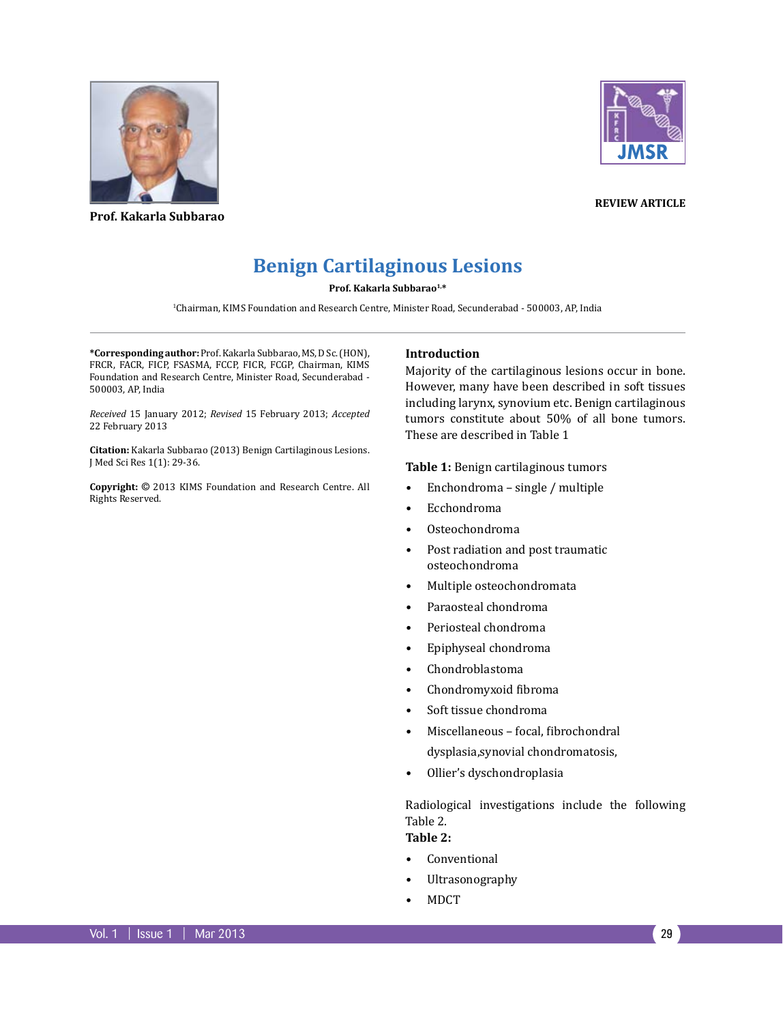

**Prof. Kakarla Subbarao**



**Review article**

# **Benign Cartilaginous Lesions**

**Prof. Kakarla Subbarao1,\***

1 Chairman, KIMS Foundation and Research Centre, Minister Road, Secunderabad - 500003, AP, India

**\*Corresponding author:** Prof. Kakarla Subbarao, MS, D Sc. (HON), FRCR, FACR, FICP, FSASMA, FCCP, FICR, FCGP, Chairman, KIMS Foundation and Research Centre, Minister Road, Secunderabad - 500003, AP, India

*Received* 15 January 2012; *Revised* 15 February 2013; *Accepted*  22 February 2013

**Citation:** Kakarla Subbarao (2013) Benign Cartilaginous Lesions. J Med Sci Res 1(1): 29-36.

**Copyright:** © 2013 KIMS Foundation and Research Centre. All Rights Reserved.

#### **Introduction**

Majority of the cartilaginous lesions occur in bone. However, many have been described in soft tissues including larynx, synovium etc. Benign cartilaginous tumors constitute about 50% of all bone tumors. These are described in Table 1

**Table 1:** Benign cartilaginous tumors

- Enchondroma single / multiple
- Ecchondroma
- Osteochondroma
- Post radiation and post traumatic osteochondroma
- Multiple osteochondromata
- Paraosteal chondroma
- Periosteal chondroma
- Epiphyseal chondroma
- Chondroblastoma
- Chondromyxoid fibroma
- Soft tissue chondroma
- Miscellaneous focal, fibrochondral dysplasia,synovial chondromatosis,
- Ollier's dyschondroplasia

Radiological investigations include the following Table 2.

**Table 2:** 

- Conventional
- Ultrasonography
- MDCT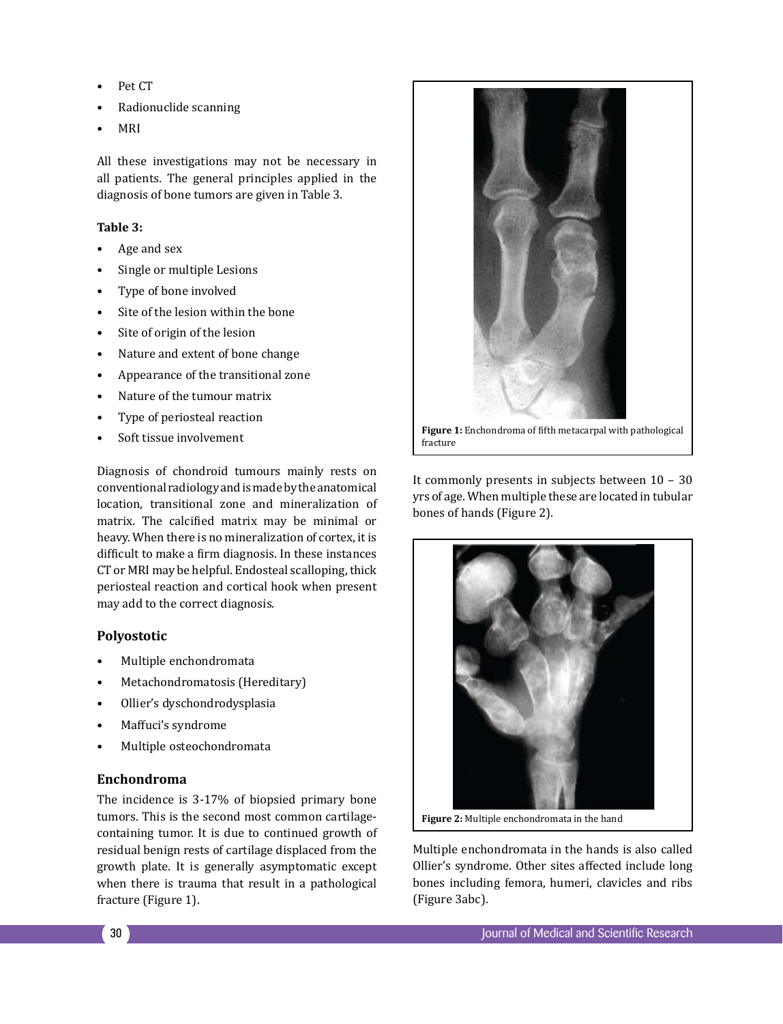- Pet CT
- Radionuclide scanning
- MRI

All these investigations may not be necessary in all patients. The general principles applied in the diagnosis of bone tumors are given in Table 3.

## **Table 3:**

- Age and sex
- Single or multiple Lesions
- Type of bone involved
- Site of the lesion within the bone
- Site of origin of the lesion
- Nature and extent of bone change
- Appearance of the transitional zone
- Nature of the tumour matrix
- Type of periosteal reaction
- Soft tissue involvement

Diagnosis of chondroid tumours mainly rests on conventional radiology and is made by the anatomical location, transitional zone and mineralization of matrix. The calcified matrix may be minimal or heavy. When there is no mineralization of cortex, it is difficult to make a firm diagnosis. In these instances CT or MRI may be helpful. Endosteal scalloping, thick periosteal reaction and cortical hook when present may add to the correct diagnosis.

## **Polyostotic**

- Multiple enchondromata
- Metachondromatosis (Hereditary)
- Ollier's dyschondrodysplasia
- Maffuci's syndrome
- Multiple osteochondromata

## **Enchondroma**

The incidence is 3-17% of biopsied primary bone tumors. This is the second most common cartilagecontaining tumor. It is due to continued growth of residual benign rests of cartilage displaced from the growth plate. It is generally asymptomatic except when there is trauma that result in a pathological fracture (Figure 1).



It commonly presents in subjects between 10 – 30 yrs of age. When multiple these are located in tubular bones of hands (Figure 2).



**Figure 2:** Multiple enchondromata in the hand

Multiple enchondromata in the hands is also called Ollier's syndrome. Other sites affected include long bones including femora, humeri, clavicles and ribs (Figure 3abc).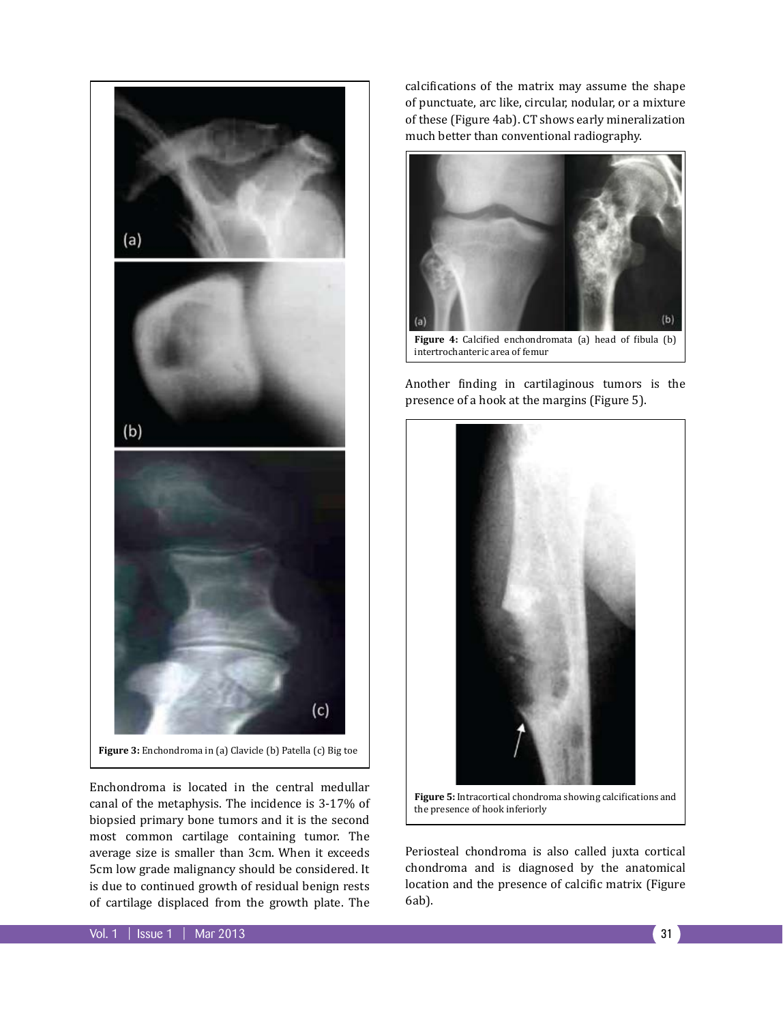

Enchondroma is located in the central medullar canal of the metaphysis. The incidence is 3-17% of biopsied primary bone tumors and it is the second most common cartilage containing tumor. The average size is smaller than 3cm. When it exceeds 5cm low grade malignancy should be considered. It is due to continued growth of residual benign rests of cartilage displaced from the growth plate. The

calcifications of the matrix may assume the shape of punctuate, arc like, circular, nodular, or a mixture of these (Figure 4ab). CT shows early mineralization much better than conventional radiography.



intertrochanteric area of femur

Another finding in cartilaginous tumors is the presence of a hook at the margins (Figure 5).



**Figure 5:** Intracortical chondroma showing calcifications and the presence of hook inferiorly

Periosteal chondroma is also called juxta cortical chondroma and is diagnosed by the anatomical location and the presence of calcific matrix (Figure 6ab).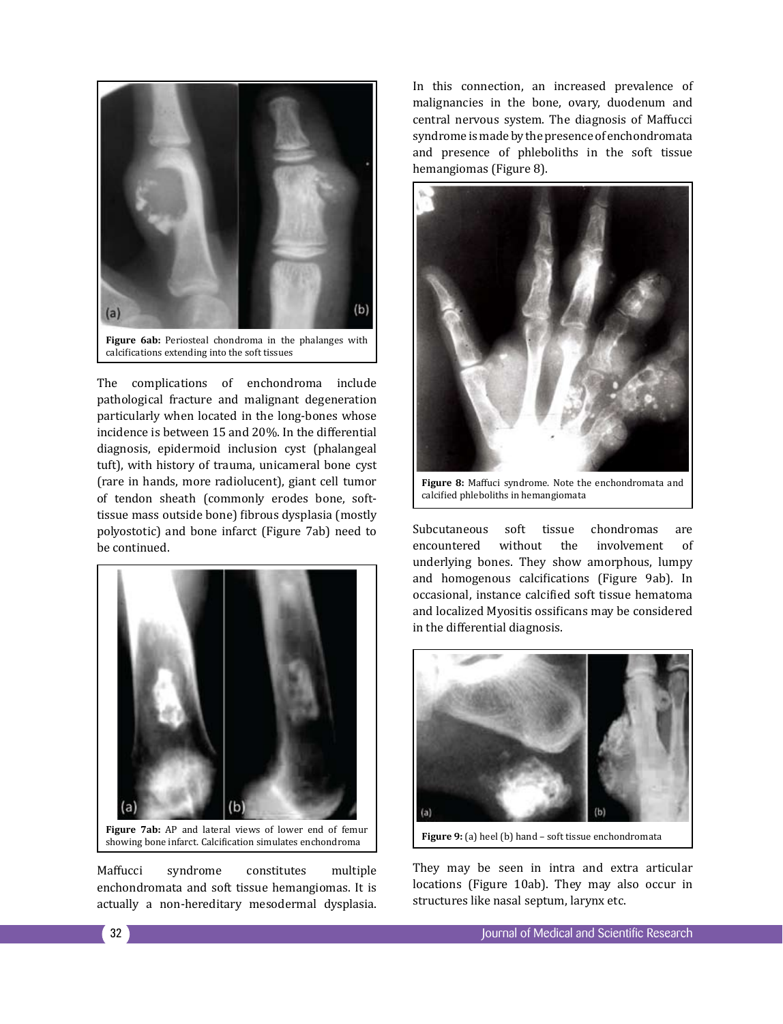

The complications of enchondroma include pathological fracture and malignant degeneration particularly when located in the long-bones whose incidence is between 15 and 20%. In the differential diagnosis, epidermoid inclusion cyst (phalangeal tuft), with history of trauma, unicameral bone cyst (rare in hands, more radiolucent), giant cell tumor of tendon sheath (commonly erodes bone, softtissue mass outside bone) fibrous dysplasia (mostly polyostotic) and bone infarct (Figure 7ab) need to be continued.



**Figure 7ab:** AP and lateral views of lower end of femur showing bone infarct. Calcification simulates enchondroma

Maffucci syndrome constitutes multiple enchondromata and soft tissue hemangiomas. It is actually a non-hereditary mesodermal dysplasia. In this connection, an increased prevalence of malignancies in the bone, ovary, duodenum and central nervous system. The diagnosis of Maffucci syndrome is made by the presence of enchondromata and presence of phleboliths in the soft tissue hemangiomas (Figure 8).



calcified phleboliths in hemangiomata

Subcutaneous soft tissue chondromas are<br>encountered without the involvement of encountered without the involvement of underlying bones. They show amorphous, lumpy and homogenous calcifications (Figure 9ab). In occasional, instance calcified soft tissue hematoma and localized Myositis ossificans may be considered in the differential diagnosis.



**Figure 9:** (a) heel (b) hand – soft tissue enchondromata

They may be seen in intra and extra articular locations (Figure 10ab). They may also occur in structures like nasal septum, larynx etc.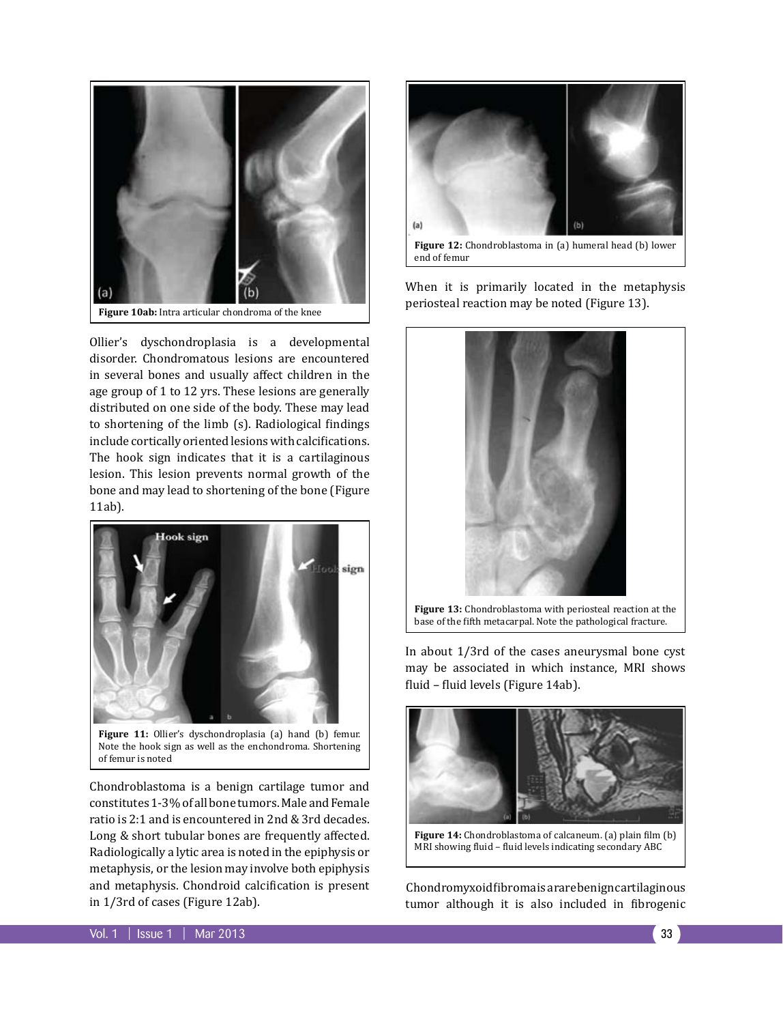

Ollier's dyschondroplasia is a developmental disorder. Chondromatous lesions are encountered in several bones and usually affect children in the age group of 1 to 12 yrs. These lesions are generally distributed on one side of the body. These may lead to shortening of the limb (s). Radiological findings include cortically oriented lesions with calcifications. The hook sign indicates that it is a cartilaginous lesion. This lesion prevents normal growth of the bone and may lead to shortening of the bone (Figure 11ab).



of femur is noted Chondroblastoma is a benign cartilage tumor and constitutes 1-3% of all bone tumors. Male and Female ratio is 2:1 and is encountered in 2nd & 3rd decades. Long & short tubular bones are frequently affected.

Radiologically a lytic area is noted in the epiphysis or metaphysis, or the lesion may involve both epiphysis and metaphysis. Chondroid calcification is present in 1/3rd of cases (Figure 12ab).



**Figure 12:** Chondroblastoma in (a) humeral head (b) lower end of femur

When it is primarily located in the metaphysis periosteal reaction may be noted (Figure 13).



In about 1/3rd of the cases aneurysmal bone cyst may be associated in which instance, MRI shows fluid – fluid levels (Figure 14ab).



**Figure 14:** Chondroblastoma of calcaneum. (a) plain film (b) MRI showing fluid – fluid levels indicating secondary ABC

 Chondromyxoid fibroma is a rare benign cartilaginous tumor although it is also included in fibrogenic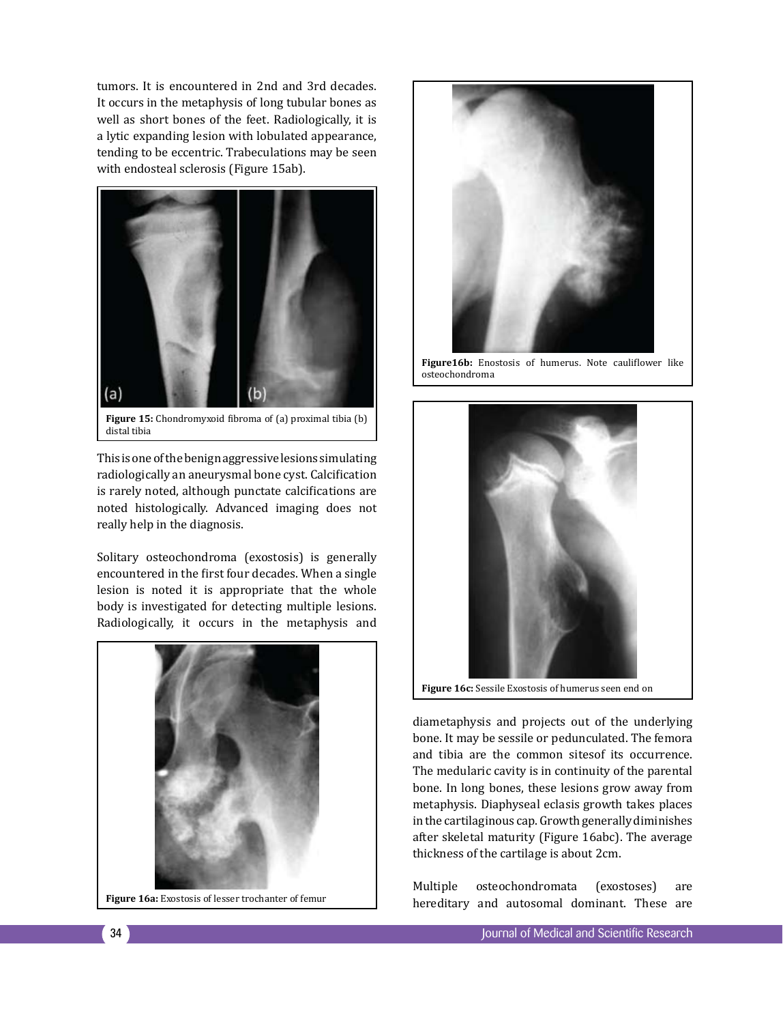tumors. It is encountered in 2nd and 3rd decades. It occurs in the metaphysis of long tubular bones as well as short bones of the feet. Radiologically, it is a lytic expanding lesion with lobulated appearance, tending to be eccentric. Trabeculations may be seen with endosteal sclerosis (Figure 15ab).



**Figure 15:** Chondromyxoid fibroma of (a) proximal tibia (b) distal tibia

This is one of the benign aggressive lesions simulating radiologically an aneurysmal bone cyst. Calcification is rarely noted, although punctate calcifications are noted histologically. Advanced imaging does not really help in the diagnosis.

Solitary osteochondroma (exostosis) is generally encountered in the first four decades. When a single lesion is noted it is appropriate that the whole body is investigated for detecting multiple lesions. Radiologically, it occurs in the metaphysis and







**Figure16b:** Enostosis of humerus. Note cauliflower like osteochondroma



diametaphysis and projects out of the underlying bone. It may be sessile or pedunculated. The femora and tibia are the common sitesof its occurrence. The medularic cavity is in continuity of the parental bone. In long bones, these lesions grow away from metaphysis. Diaphyseal eclasis growth takes places in the cartilaginous cap. Growth generally diminishes after skeletal maturity (Figure 16abc). The average thickness of the cartilage is about 2cm.

Multiple osteochondromata (exostoses) are Figure 16a: Exostosis of lesser trochanter of femur<br> **Figure 16a:** Exostosis of lesser trochanter of femur<br> **Figure 16a:** Exostosis of lesser trochanter of femur<br> **Figure 16a:** Exostosis of lesser trochanter of femur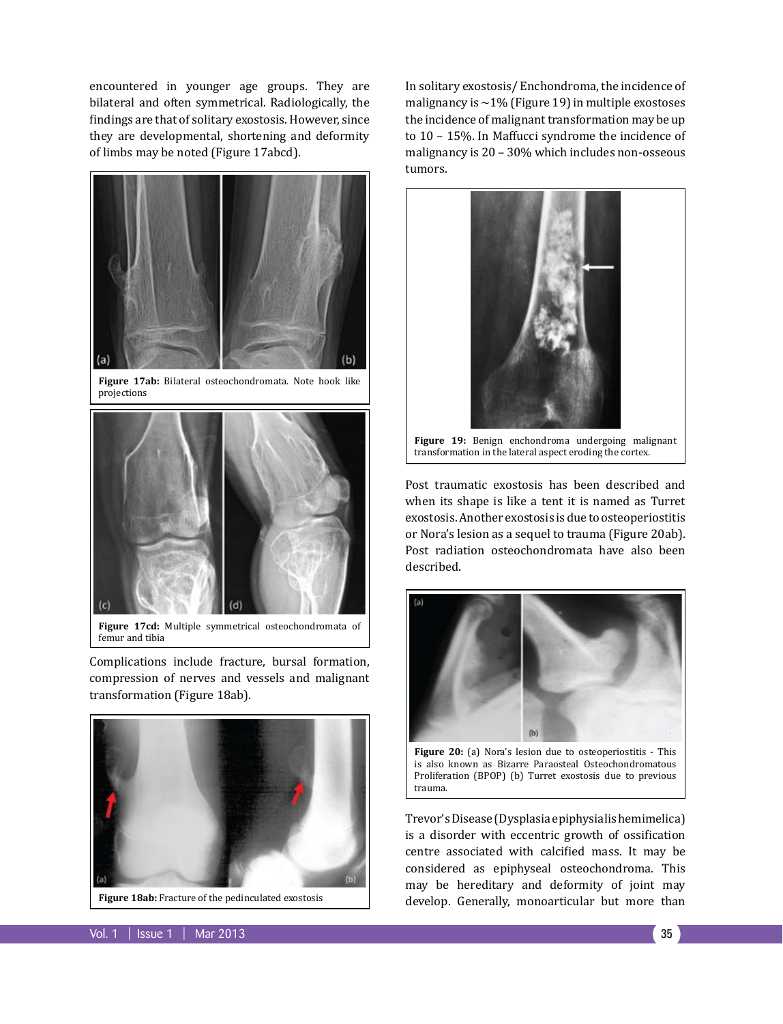encountered in younger age groups. They are bilateral and often symmetrical. Radiologically, the findings are that of solitary exostosis. However, since they are developmental, shortening and deformity of limbs may be noted (Figure 17abcd).



**Figure 17ab:** Bilateral osteochondromata. Note hook like projections



**Figure 17cd:** Multiple symmetrical osteochondromata of femur and tibia

Complications include fracture, bursal formation, compression of nerves and vessels and malignant transformation (Figure 18ab).



**Figure 18ab:** Fracture of the pedinculated exostosis

In solitary exostosis/ Enchondroma, the incidence of malignancy is  $\sim$ 1% (Figure 19) in multiple exostoses the incidence of malignant transformation may be up to 10 – 15%. In Maffucci syndrome the incidence of malignancy is 20 – 30% which includes non-osseous tumors.



Post traumatic exostosis has been described and when its shape is like a tent it is named as Turret exostosis. Another exostosis is due to osteoperiostitis or Nora's lesion as a sequel to trauma (Figure 20ab). Post radiation osteochondromata have also been described.



Figure 20: (a) Nora's lesion due to osteoperiostitis - This is also known as Bizarre Paraosteal Osteochondromatous Proliferation (BPOP) (b) Turret exostosis due to previous trauma.

Trevor's Disease (Dysplasia epiphysialis hemimelica) is a disorder with eccentric growth of ossification centre associated with calcified mass. It may be considered as epiphyseal osteochondroma. This may be hereditary and deformity of joint may develop. Generally, monoarticular but more than